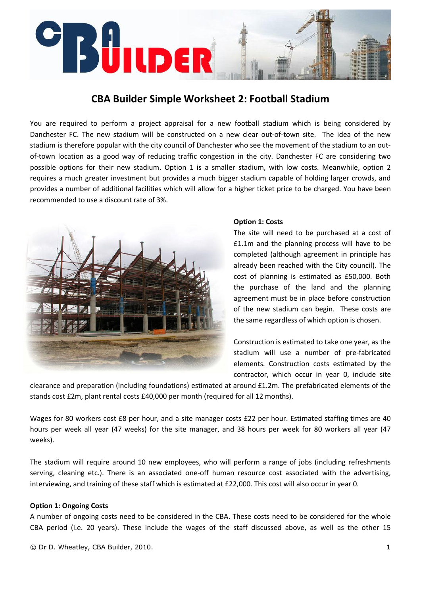# UILDER

# **CBA Builder Simple Worksheet 2: Football Stadium**

You are required to perform a project appraisal for a new football stadium which is being considered by Danchester FC. The new stadium will be constructed on a new clear out-of-town site. The idea of the new stadium is therefore popular with the city council of Danchester who see the movement of the stadium to an out‐ of-town location as a good way of reducing traffic congestion in the city. Danchester FC are considering two possible options for their new stadium. Option 1 is a smaller stadium, with low costs. Meanwhile, option 2 requires a much greater investment but provides a much bigger stadium capable of holding larger crowds, and provides a number of additional facilities which will allow for a higher ticket price to be charged. You have been recommended to use a discount rate of 3%.



#### **Option 1: Costs**

The site will need to be purchased at a cost of £1.1m and the planning process will have to be completed (although agreement in principle has already been reached with the City council). The cost of planning is estimated as £50,000. Both the purchase of the land and the planning agreement must be in place before construction of the new stadium can begin. These costs are the same regardless of which option is chosen.

Construction is estimated to take one year, as the stadium will use a number of pre-fabricated elements. Construction costs estimated by the contractor, which occur in year 0, include site

clearance and preparation (including foundations) estimated at around £1.2m. The prefabricated elements of the stands cost £2m, plant rental costs £40,000 per month (required for all 12 months).

Wages for 80 workers cost £8 per hour, and a site manager costs £22 per hour. Estimated staffing times are 40 hours per week all year (47 weeks) for the site manager, and 38 hours per week for 80 workers all year (47 weeks).

The stadium will require around 10 new employees, who will perform a range of jobs (including refreshments serving, cleaning etc.). There is an associated one-off human resource cost associated with the advertising, interviewing, and training of these staff which is estimated at £22,000. This cost will also occur in year 0.

# **Option 1: Ongoing Costs**

A number of ongoing costs need to be considered in the CBA. These costs need to be considered for the whole CBA period (i.e. 20 years). These include the wages of the staff discussed above, as well as the other 15

© Dr D. Wheatley, CBA Builder, 2010. 1